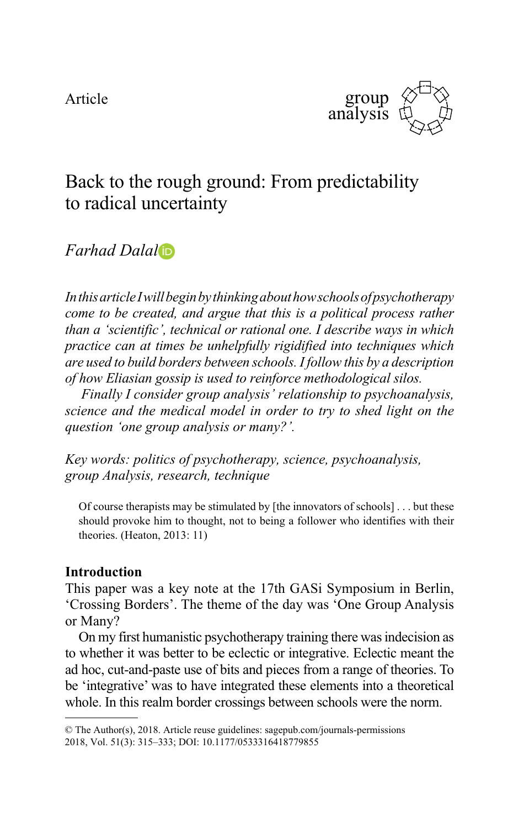Article



# Back to the rough ground: from predictability to radical uncertainty

## *Farhad Dalal*

*In this article I will begin by thinking about how schools of psychotherapy come to be created, and argue that this is a political process rather than a 'scientific', technical or rational one. I describe ways in which practice can at times be unhelpfully rigidified into techniques which are used to build borders between schools. I follow this by a description of how Eliasian gossip is used to reinforce methodological silos.*

*Finally I consider group analysis' relationship to psychoanalysis, science and the medical model in order to try to shed light on the question 'one group analysis or many?'.*

*Key words: politics of psychotherapy, science, psychoanalysis, group Analysis, research, technique*

Of course therapists may be stimulated by [the innovators of schools] . . . but these should provoke him to thought, not to being a follower who identifies with their theories. (Heaton, 2013: 11)

## **Introduction**

This paper was a key note at the 17th GASi Symposium in Berlin, 'Crossing Borders'. The theme of the day was 'One Group Analysis or Many?

On my first humanistic psychotherapy training there was indecision as to whether it was better to be eclectic or integrative. Eclectic meant the ad hoc, cut-and-paste use of bits and pieces from a range of theories. To be 'integrative' was to have integrated these elements into a theoretical whole. In this realm border crossings between schools were the norm.

<sup>2018,</sup> Vol. 51(3): 315–333; DOI: 10.1177/0533316418779855 © The Author(s), 2018. Article reuse guidelines: sagepub[.com/journals-permissions](https://uk.sagepub.com/en-gb/journals-permission)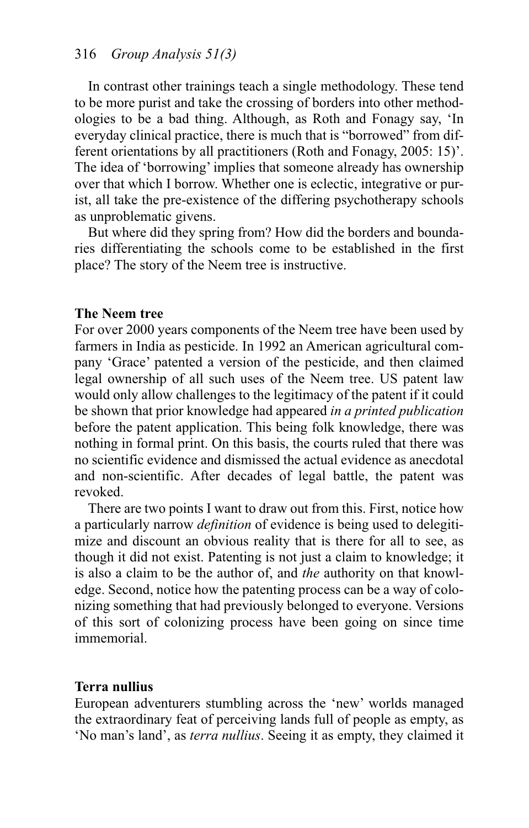In contrast other trainings teach a single methodology. These tend to be more purist and take the crossing of borders into other methodologies to be a bad thing. Although, as Roth and Fonagy say, 'In everyday clinical practice, there is much that is "borrowed" from different orientations by all practitioners (Roth and Fonagy, 2005: 15)'. The idea of 'borrowing' implies that someone already has ownership over that which I borrow. Whether one is eclectic, integrative or purist, all take the pre-existence of the differing psychotherapy schools as unproblematic givens.

But where did they spring from? How did the borders and boundaries differentiating the schools come to be established in the first place? The story of the Neem tree is instructive.

#### **The Neem tree**

For over 2000 years components of the Neem tree have been used by farmers in India as pesticide. In 1992 an American agricultural company 'Grace' patented a version of the pesticide, and then claimed legal ownership of all such uses of the Neem tree. US patent law would only allow challenges to the legitimacy of the patent if it could be shown that prior knowledge had appeared *in a printed publication* before the patent application. This being folk knowledge, there was nothing in formal print. On this basis, the courts ruled that there was no scientific evidence and dismissed the actual evidence as anecdotal and non-scientific. After decades of legal battle, the patent was revoked.

There are two points I want to draw out from this. First, notice how a particularly narrow *definition* of evidence is being used to delegitimize and discount an obvious reality that is there for all to see, as though it did not exist. Patenting is not just a claim to knowledge; it is also a claim to be the author of, and *the* authority on that knowledge. Second, notice how the patenting process can be a way of colonizing something that had previously belonged to everyone. Versions of this sort of colonizing process have been going on since time immemorial.

## **Terra nullius**

European adventurers stumbling across the 'new' worlds managed the extraordinary feat of perceiving lands full of people as empty, as 'No man's land', as *terra nullius*. Seeing it as empty, they claimed it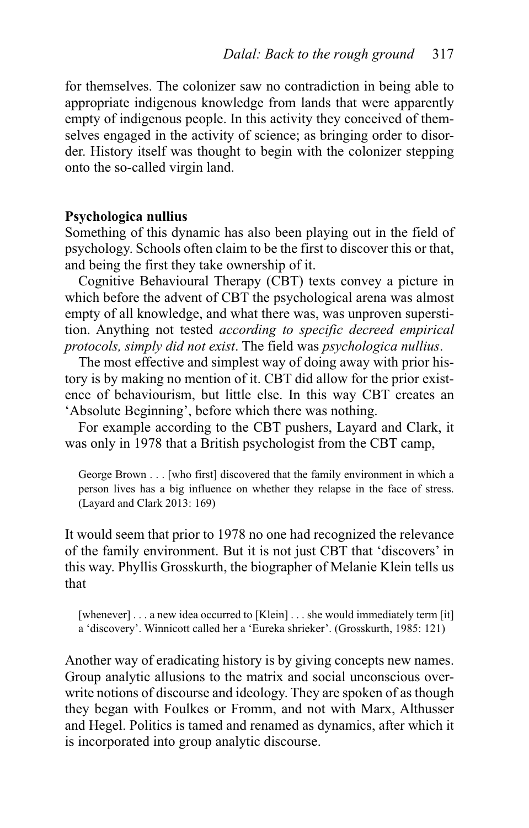for themselves. The colonizer saw no contradiction in being able to appropriate indigenous knowledge from lands that were apparently empty of indigenous people. In this activity they conceived of themselves engaged in the activity of science; as bringing order to disorder. History itself was thought to begin with the colonizer stepping onto the so-called virgin land.

#### **Psychologica nullius**

Something of this dynamic has also been playing out in the field of psychology. Schools often claim to be the first to discover this or that, and being the first they take ownership of it.

Cognitive Behavioural Therapy (CBT) texts convey a picture in which before the advent of CBT the psychological arena was almost empty of all knowledge, and what there was, was unproven superstition. Anything not tested *according to specific decreed empirical protocols, simply did not exist*. The field was *psychologica nullius*.

The most effective and simplest way of doing away with prior history is by making no mention of it. CBT did allow for the prior existence of behaviourism, but little else. In this way CBT creates an 'Absolute Beginning', before which there was nothing.

For example according to the CBT pushers, Layard and Clark, it was only in 1978 that a British psychologist from the CBT camp,

George Brown . . . [who first] discovered that the family environment in which a person lives has a big influence on whether they relapse in the face of stress. (Layard and Clark 2013: 169)

It would seem that prior to 1978 no one had recognized the relevance of the family environment. But it is not just CBT that 'discovers' in this way. Phyllis Grosskurth, the biographer of Melanie Klein tells us that

[whenever] . . . a new idea occurred to [Klein] . . . she would immediately term [it] a 'discovery'. Winnicott called her a 'Eureka shrieker'. (Grosskurth, 1985: 121)

Another way of eradicating history is by giving concepts new names. Group analytic allusions to the matrix and social unconscious overwrite notions of discourse and ideology. They are spoken of as though they began with Foulkes or Fromm, and not with Marx, Althusser and Hegel. Politics is tamed and renamed as dynamics, after which it is incorporated into group analytic discourse.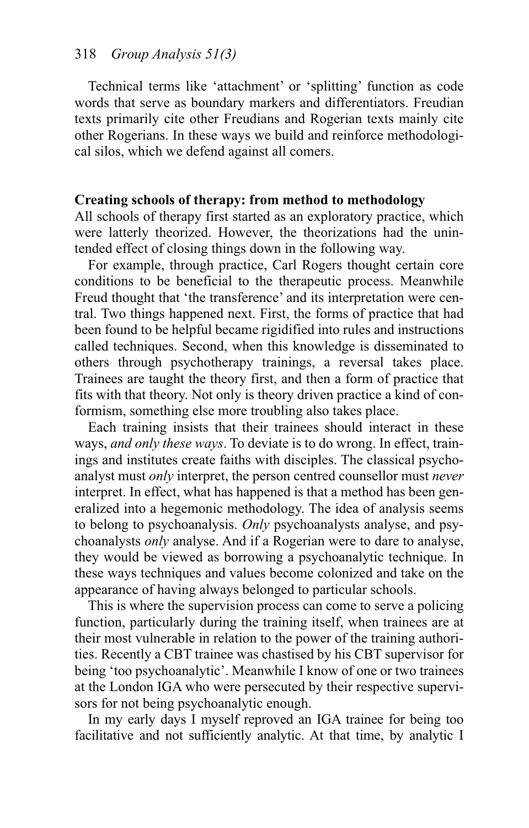#### 318 *Group Analysis 51(3)*

Technical terms like 'attachment' or 'splitting' function as code words that serve as boundary markers and differentiators. Freudian texts primarily cite other Freudians and Rogerian texts mainly cite other Rogerians. In these ways we build and reinforce methodological silos, which we defend against all comers.

#### **Creating schools of therapy: from method to methodology**

All schools of therapy first started as an exploratory practice, which were latterly theorized. However, the theorizations had the unintended effect of closing things down in the following way.

For example, through practice, Carl Rogers thought certain core conditions to be beneficial to the therapeutic process. Meanwhile Freud thought that 'the transference' and its interpretation were central. Two things happened next. First, the forms of practice that had been found to be helpful became rigidified into rules and instructions called techniques. Second, when this knowledge is disseminated to others through psychotherapy trainings, a reversal takes place. Trainees are taught the theory first, and then a form of practice that fits with that theory. Not only is theory driven practice a kind of conformism, something else more troubling also takes place.

Each training insists that their trainees should interact in these ways, *and only these ways*. To deviate is to do wrong. In effect, trainings and institutes create faiths with disciples. The classical psychoanalyst must *only* interpret, the person centred counsellor must *never* interpret. In effect, what has happened is that a method has been generalized into a hegemonic methodology. The idea of analysis seems to belong to psychoanalysis. *Only* psychoanalysts analyse, and psychoanalysts *only* analyse. And if a Rogerian were to dare to analyse, they would be viewed as borrowing a psychoanalytic technique. In these ways techniques and values become colonized and take on the appearance of having always belonged to particular schools.

This is where the supervision process can come to serve a policing function, particularly during the training itself, when trainees are at their most vulnerable in relation to the power of the training authorities. Recently a CBT trainee was chastised by his CBT supervisor for being 'too psychoanalytic'. Meanwhile I know of one or two trainees at the London IGA who were persecuted by their respective supervisors for not being psychoanalytic enough.

In my early days I myself reproved an IGA trainee for being too facilitative and not sufficiently analytic. At that time, by analytic I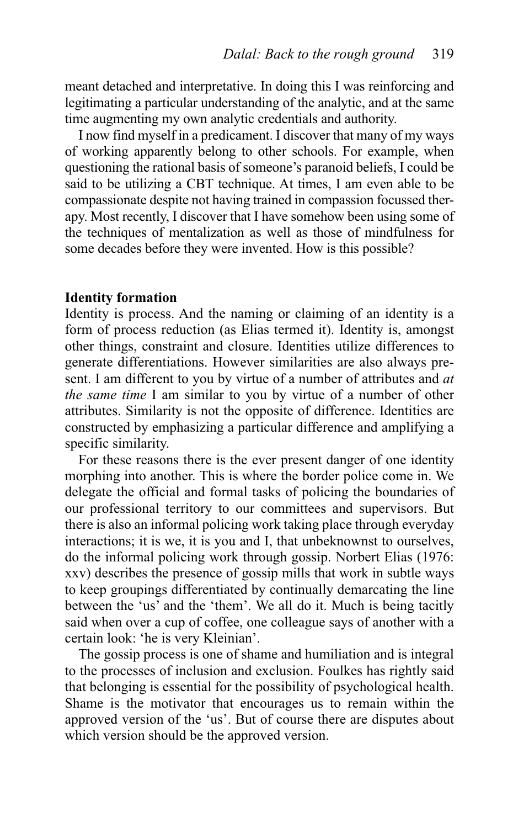meant detached and interpretative. In doing this I was reinforcing and legitimating a particular understanding of the analytic, and at the same time augmenting my own analytic credentials and authority.

I now find myself in a predicament. I discover that many of my ways of working apparently belong to other schools. For example, when questioning the rational basis of someone's paranoid beliefs, I could be said to be utilizing a CBT technique. At times, I am even able to be compassionate despite not having trained in compassion focussed therapy. Most recently, I discover that I have somehow been using some of the techniques of mentalization as well as those of mindfulness for some decades before they were invented. How is this possible?

#### **Identity formation**

Identity is process. And the naming or claiming of an identity is a form of process reduction (as Elias termed it). Identity is, amongst other things, constraint and closure. Identities utilize differences to generate differentiations. However similarities are also always present. I am different to you by virtue of a number of attributes and *at the same time* I am similar to you by virtue of a number of other attributes. Similarity is not the opposite of difference. Identities are constructed by emphasizing a particular difference and amplifying a specific similarity.

For these reasons there is the ever present danger of one identity morphing into another. This is where the border police come in. We delegate the official and formal tasks of policing the boundaries of our professional territory to our committees and supervisors. But there is also an informal policing work taking place through everyday interactions; it is we, it is you and I, that unbeknownst to ourselves, do the informal policing work through gossip. Norbert Elias (1976: xxv) describes the presence of gossip mills that work in subtle ways to keep groupings differentiated by continually demarcating the line between the 'us' and the 'them'. We all do it. Much is being tacitly said when over a cup of coffee, one colleague says of another with a certain look: 'he is very Kleinian'.

The gossip process is one of shame and humiliation and is integral to the processes of inclusion and exclusion. Foulkes has rightly said that belonging is essential for the possibility of psychological health. Shame is the motivator that encourages us to remain within the approved version of the 'us'. But of course there are disputes about which version should be the approved version.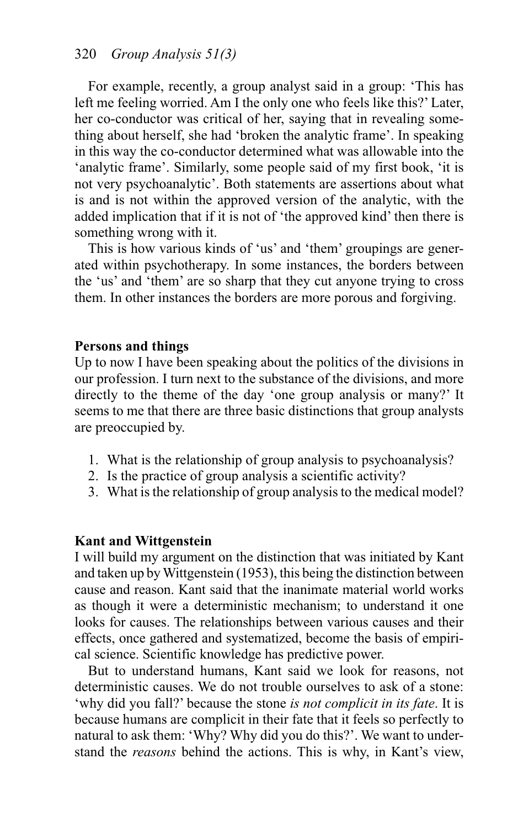For example, recently, a group analyst said in a group: 'This has left me feeling worried. Am I the only one who feels like this?' Later, her co-conductor was critical of her, saying that in revealing something about herself, she had 'broken the analytic frame'. In speaking in this way the co-conductor determined what was allowable into the 'analytic frame'. Similarly, some people said of my first book, 'it is not very psychoanalytic'. Both statements are assertions about what is and is not within the approved version of the analytic, with the added implication that if it is not of 'the approved kind' then there is something wrong with it.

This is how various kinds of 'us' and 'them' groupings are generated within psychotherapy. In some instances, the borders between the 'us' and 'them' are so sharp that they cut anyone trying to cross them. In other instances the borders are more porous and forgiving.

#### **Persons and things**

Up to now I have been speaking about the politics of the divisions in our profession. I turn next to the substance of the divisions, and more directly to the theme of the day 'one group analysis or many?' It seems to me that there are three basic distinctions that group analysts are preoccupied by.

- 1. What is the relationship of group analysis to psychoanalysis?
- 2. Is the practice of group analysis a scientific activity?
- 3. What is the relationship of group analysis to the medical model?

#### **Kant and Wittgenstein**

I will build my argument on the distinction that was initiated by Kant and taken up by Wittgenstein (1953), this being the distinction between cause and reason. Kant said that the inanimate material world works as though it were a deterministic mechanism; to understand it one looks for causes. The relationships between various causes and their effects, once gathered and systematized, become the basis of empirical science. Scientific knowledge has predictive power.

But to understand humans, Kant said we look for reasons, not deterministic causes. We do not trouble ourselves to ask of a stone: 'why did you fall?' because the stone *is not complicit in its fate*. It is because humans are complicit in their fate that it feels so perfectly to natural to ask them: 'Why? Why did you do this?'. We want to understand the *reasons* behind the actions. This is why, in Kant's view,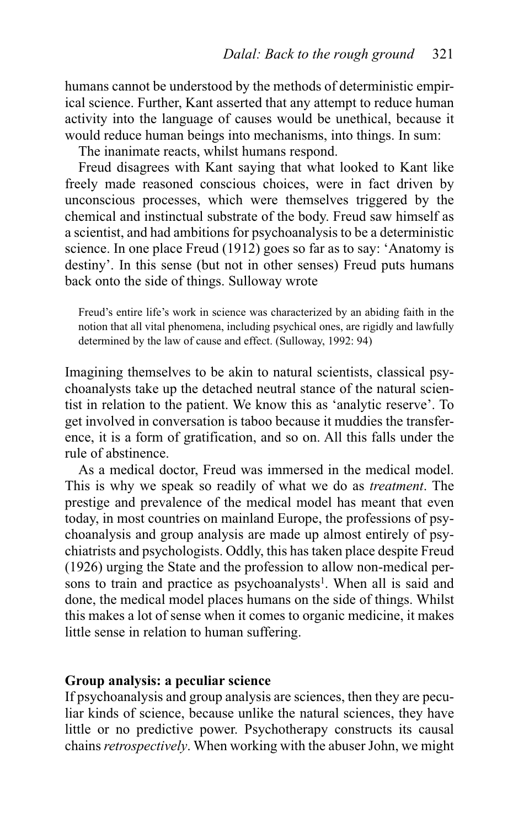humans cannot be understood by the methods of deterministic empirical science. Further, Kant asserted that any attempt to reduce human activity into the language of causes would be unethical, because it would reduce human beings into mechanisms, into things. In sum:

The inanimate reacts, whilst humans respond.

Freud disagrees with Kant saying that what looked to Kant like freely made reasoned conscious choices, were in fact driven by unconscious processes, which were themselves triggered by the chemical and instinctual substrate of the body. Freud saw himself as a scientist, and had ambitions for psychoanalysis to be a deterministic science. In one place Freud (1912) goes so far as to say: 'Anatomy is destiny'. In this sense (but not in other senses) Freud puts humans back onto the side of things. Sulloway wrote

Freud's entire life's work in science was characterized by an abiding faith in the notion that all vital phenomena, including psychical ones, are rigidly and lawfully determined by the law of cause and effect. (Sulloway, 1992: 94)

Imagining themselves to be akin to natural scientists, classical psychoanalysts take up the detached neutral stance of the natural scientist in relation to the patient. We know this as 'analytic reserve'. To get involved in conversation is taboo because it muddies the transference, it is a form of gratification, and so on. All this falls under the rule of abstinence.

As a medical doctor, Freud was immersed in the medical model. This is why we speak so readily of what we do as *treatment*. The prestige and prevalence of the medical model has meant that even today, in most countries on mainland Europe, the professions of psychoanalysis and group analysis are made up almost entirely of psychiatrists and psychologists. Oddly, this has taken place despite Freud (1926) urging the State and the profession to allow non-medical persons to train and practice as psychoanalysts<sup>1</sup>. When all is said and done, the medical model places humans on the side of things. Whilst this makes a lot of sense when it comes to organic medicine, it makes little sense in relation to human suffering.

#### **Group analysis: a peculiar science**

If psychoanalysis and group analysis are sciences, then they are peculiar kinds of science, because unlike the natural sciences, they have little or no predictive power. Psychotherapy constructs its causal chains *retrospectively*. When working with the abuser John, we might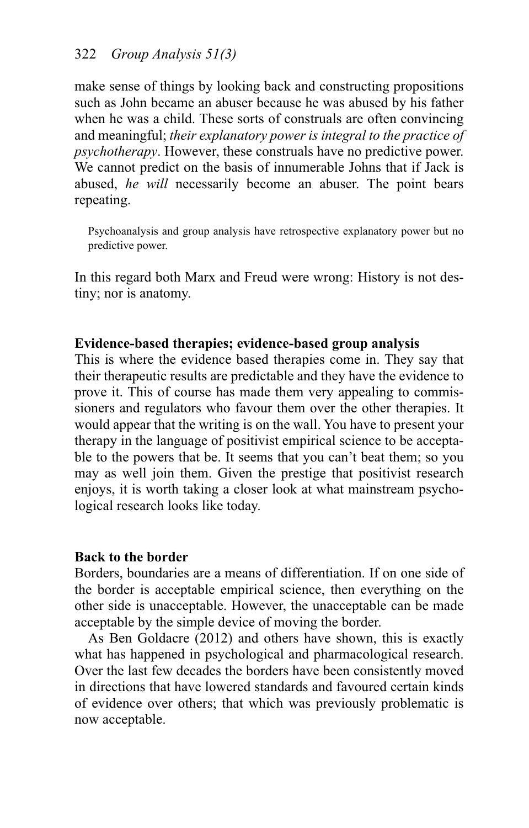make sense of things by looking back and constructing propositions such as John became an abuser because he was abused by his father when he was a child. These sorts of construals are often convincing and meaningful; *their explanatory power is integral to the practice of psychotherapy*. However, these construals have no predictive power. We cannot predict on the basis of innumerable Johns that if Jack is abused, *he will* necessarily become an abuser. The point bears repeating.

Psychoanalysis and group analysis have retrospective explanatory power but no predictive power.

In this regard both Marx and Freud were wrong: History is not destiny; nor is anatomy.

#### **Evidence-based therapies; evidence-based group analysis**

This is where the evidence based therapies come in. They say that their therapeutic results are predictable and they have the evidence to prove it. This of course has made them very appealing to commissioners and regulators who favour them over the other therapies. It would appear that the writing is on the wall. You have to present your therapy in the language of positivist empirical science to be acceptable to the powers that be. It seems that you can't beat them; so you may as well join them. Given the prestige that positivist research enjoys, it is worth taking a closer look at what mainstream psychological research looks like today.

## **Back to the border**

Borders, boundaries are a means of differentiation. If on one side of the border is acceptable empirical science, then everything on the other side is unacceptable. However, the unacceptable can be made acceptable by the simple device of moving the border.

As Ben Goldacre (2012) and others have shown, this is exactly what has happened in psychological and pharmacological research. Over the last few decades the borders have been consistently moved in directions that have lowered standards and favoured certain kinds of evidence over others; that which was previously problematic is now acceptable.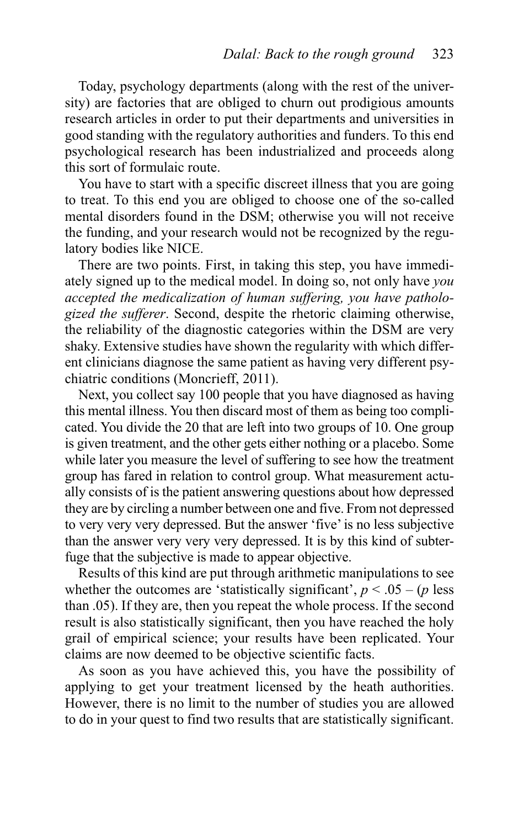Today, psychology departments (along with the rest of the university) are factories that are obliged to churn out prodigious amounts research articles in order to put their departments and universities in good standing with the regulatory authorities and funders. To this end psychological research has been industrialized and proceeds along this sort of formulaic route.

You have to start with a specific discreet illness that you are going to treat. To this end you are obliged to choose one of the so-called mental disorders found in the DSM; otherwise you will not receive the funding, and your research would not be recognized by the regulatory bodies like NICE.

There are two points. First, in taking this step, you have immediately signed up to the medical model. In doing so, not only have *you accepted the medicalization of human suffering, you have pathologized the sufferer*. Second, despite the rhetoric claiming otherwise, the reliability of the diagnostic categories within the DSM are very shaky. Extensive studies have shown the regularity with which different clinicians diagnose the same patient as having very different psychiatric conditions (Moncrieff, 2011).

Next, you collect say 100 people that you have diagnosed as having this mental illness. You then discard most of them as being too complicated. You divide the 20 that are left into two groups of 10. One group is given treatment, and the other gets either nothing or a placebo. Some while later you measure the level of suffering to see how the treatment group has fared in relation to control group. What measurement actually consists of is the patient answering questions about how depressed they are by circling a number between one and five. From not depressed to very very very depressed. But the answer 'five' is no less subjective than the answer very very very depressed. It is by this kind of subterfuge that the subjective is made to appear objective.

Results of this kind are put through arithmetic manipulations to see whether the outcomes are 'statistically significant',  $p < .05 - (p \text{ less})$ than .05). If they are, then you repeat the whole process. If the second result is also statistically significant, then you have reached the holy grail of empirical science; your results have been replicated. Your claims are now deemed to be objective scientific facts.

As soon as you have achieved this, you have the possibility of applying to get your treatment licensed by the heath authorities. However, there is no limit to the number of studies you are allowed to do in your quest to find two results that are statistically significant.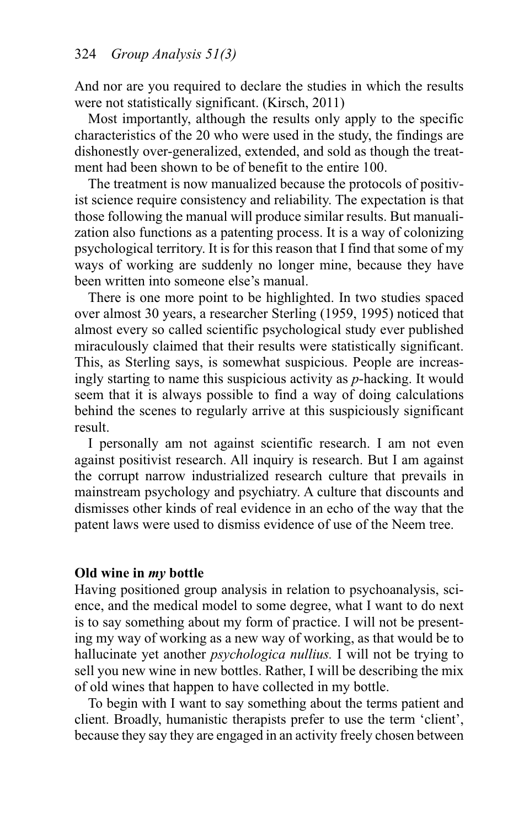And nor are you required to declare the studies in which the results were not statistically significant. (Kirsch, 2011)

Most importantly, although the results only apply to the specific characteristics of the 20 who were used in the study, the findings are dishonestly over-generalized, extended, and sold as though the treatment had been shown to be of benefit to the entire 100.

The treatment is now manualized because the protocols of positivist science require consistency and reliability. The expectation is that those following the manual will produce similar results. But manualization also functions as a patenting process. It is a way of colonizing psychological territory. It is for this reason that I find that some of my ways of working are suddenly no longer mine, because they have been written into someone else's manual.

There is one more point to be highlighted. In two studies spaced over almost 30 years, a researcher Sterling (1959, 1995) noticed that almost every so called scientific psychological study ever published miraculously claimed that their results were statistically significant. This, as Sterling says, is somewhat suspicious. People are increasingly starting to name this suspicious activity as *p*-hacking. It would seem that it is always possible to find a way of doing calculations behind the scenes to regularly arrive at this suspiciously significant result.

I personally am not against scientific research. I am not even against positivist research. All inquiry is research. But I am against the corrupt narrow industrialized research culture that prevails in mainstream psychology and psychiatry. A culture that discounts and dismisses other kinds of real evidence in an echo of the way that the patent laws were used to dismiss evidence of use of the Neem tree.

#### **Old wine in** *my* **bottle**

Having positioned group analysis in relation to psychoanalysis, science, and the medical model to some degree, what I want to do next is to say something about my form of practice. I will not be presenting my way of working as a new way of working, as that would be to hallucinate yet another *psychologica nullius.* I will not be trying to sell you new wine in new bottles. Rather, I will be describing the mix of old wines that happen to have collected in my bottle.

To begin with I want to say something about the terms patient and client. Broadly, humanistic therapists prefer to use the term 'client', because they say they are engaged in an activity freely chosen between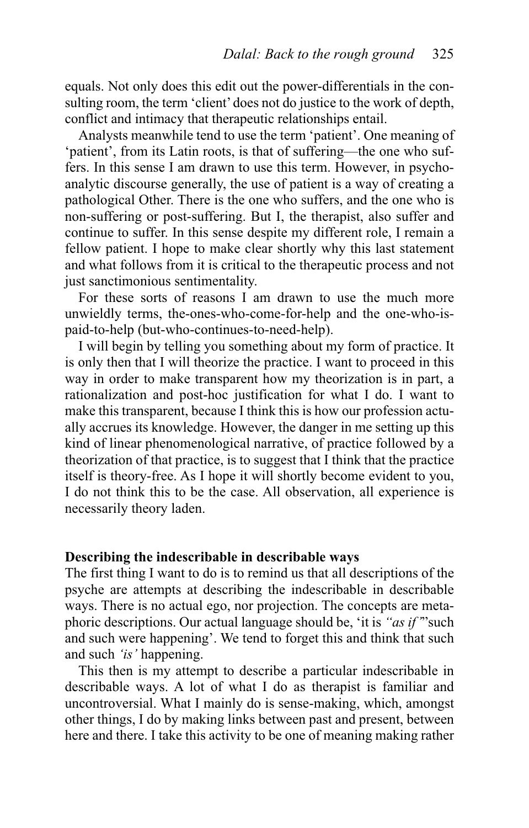equals. Not only does this edit out the power-differentials in the consulting room, the term 'client' does not do justice to the work of depth, conflict and intimacy that therapeutic relationships entail.

Analysts meanwhile tend to use the term 'patient'. One meaning of 'patient', from its Latin roots, is that of suffering—the one who suffers. In this sense I am drawn to use this term. However, in psychoanalytic discourse generally, the use of patient is a way of creating a pathological Other. There is the one who suffers, and the one who is non-suffering or post-suffering. But I, the therapist, also suffer and continue to suffer. In this sense despite my different role, I remain a fellow patient. I hope to make clear shortly why this last statement and what follows from it is critical to the therapeutic process and not just sanctimonious sentimentality.

For these sorts of reasons I am drawn to use the much more unwieldly terms, the-ones-who-come-for-help and the one-who-ispaid-to-help (but-who-continues-to-need-help).

I will begin by telling you something about my form of practice. It is only then that I will theorize the practice. I want to proceed in this way in order to make transparent how my theorization is in part, a rationalization and post-hoc justification for what I do. I want to make this transparent, because I think this is how our profession actually accrues its knowledge. However, the danger in me setting up this kind of linear phenomenological narrative, of practice followed by a theorization of that practice, is to suggest that I think that the practice itself is theory-free. As I hope it will shortly become evident to you, I do not think this to be the case. All observation, all experience is necessarily theory laden.

## **Describing the indescribable in describable ways**

The first thing I want to do is to remind us that all descriptions of the psyche are attempts at describing the indescribable in describable ways. There is no actual ego, nor projection. The concepts are metaphoric descriptions. Our actual language should be, 'it is *"as if'*"such and such were happening'. We tend to forget this and think that such and such *'is'* happening.

This then is my attempt to describe a particular indescribable in describable ways. A lot of what I do as therapist is familiar and uncontroversial. What I mainly do is sense-making, which, amongst other things, I do by making links between past and present, between here and there. I take this activity to be one of meaning making rather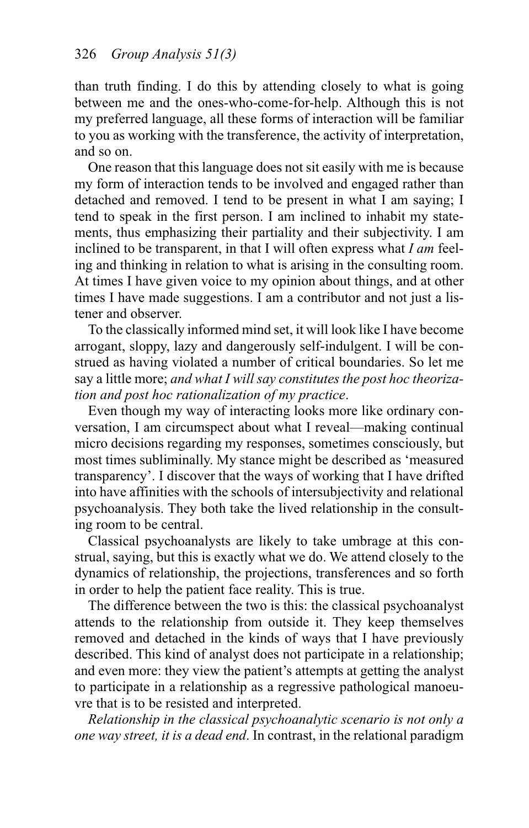than truth finding. I do this by attending closely to what is going between me and the ones-who-come-for-help. Although this is not my preferred language, all these forms of interaction will be familiar to you as working with the transference, the activity of interpretation, and so on.

One reason that this language does not sit easily with me is because my form of interaction tends to be involved and engaged rather than detached and removed. I tend to be present in what I am saying; I tend to speak in the first person. I am inclined to inhabit my statements, thus emphasizing their partiality and their subjectivity. I am inclined to be transparent, in that I will often express what *I am* feeling and thinking in relation to what is arising in the consulting room. At times I have given voice to my opinion about things, and at other times I have made suggestions. I am a contributor and not just a listener and observer.

To the classically informed mind set, it will look like I have become arrogant, sloppy, lazy and dangerously self-indulgent. I will be construed as having violated a number of critical boundaries. So let me say a little more; *and what I will say constitutes the post hoc theorization and post hoc rationalization of my practice*.

Even though my way of interacting looks more like ordinary conversation, I am circumspect about what I reveal—making continual micro decisions regarding my responses, sometimes consciously, but most times subliminally. My stance might be described as 'measured transparency'. I discover that the ways of working that I have drifted into have affinities with the schools of intersubjectivity and relational psychoanalysis. They both take the lived relationship in the consulting room to be central.

Classical psychoanalysts are likely to take umbrage at this construal, saying, but this is exactly what we do. We attend closely to the dynamics of relationship, the projections, transferences and so forth in order to help the patient face reality. This is true.

The difference between the two is this: the classical psychoanalyst attends to the relationship from outside it. They keep themselves removed and detached in the kinds of ways that I have previously described. This kind of analyst does not participate in a relationship; and even more: they view the patient's attempts at getting the analyst to participate in a relationship as a regressive pathological manoeuvre that is to be resisted and interpreted.

*Relationship in the classical psychoanalytic scenario is not only a one way street, it is a dead end*. In contrast, in the relational paradigm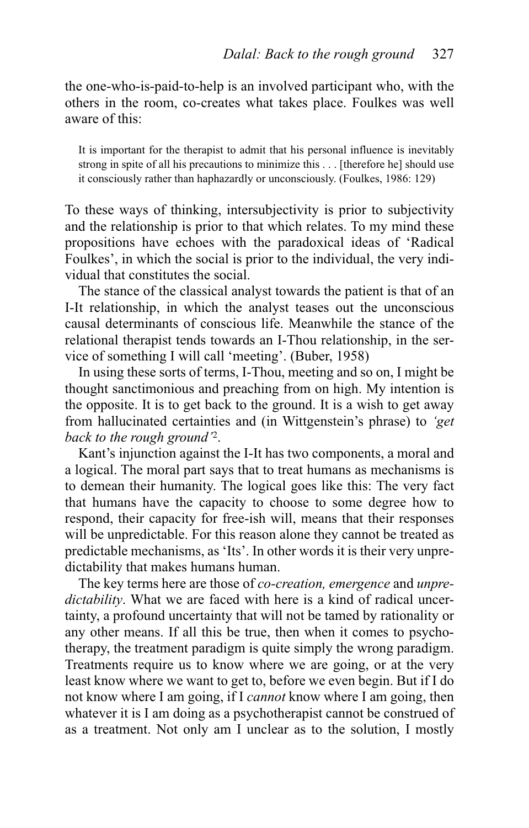the one-who-is-paid-to-help is an involved participant who, with the others in the room, co-creates what takes place. Foulkes was well aware of this:

It is important for the therapist to admit that his personal influence is inevitably strong in spite of all his precautions to minimize this . . . [therefore he] should use it consciously rather than haphazardly or unconsciously. (Foulkes, 1986: 129)

To these ways of thinking, intersubjectivity is prior to subjectivity and the relationship is prior to that which relates. To my mind these propositions have echoes with the paradoxical ideas of 'Radical Foulkes', in which the social is prior to the individual, the very individual that constitutes the social.

The stance of the classical analyst towards the patient is that of an I-It relationship, in which the analyst teases out the unconscious causal determinants of conscious life. Meanwhile the stance of the relational therapist tends towards an I-Thou relationship, in the service of something I will call 'meeting'. (Buber, 1958)

In using these sorts of terms, I-Thou, meeting and so on, I might be thought sanctimonious and preaching from on high. My intention is the opposite. It is to get back to the ground. It is a wish to get away from hallucinated certainties and (in Wittgenstein's phrase) to *'get back to the rough ground'*2.

Kant's injunction against the I-It has two components, a moral and a logical. The moral part says that to treat humans as mechanisms is to demean their humanity. The logical goes like this: The very fact that humans have the capacity to choose to some degree how to respond, their capacity for free-ish will, means that their responses will be unpredictable. For this reason alone they cannot be treated as predictable mechanisms, as 'Its'. In other words it is their very unpredictability that makes humans human.

The key terms here are those of *co-creation, emergence* and *unpredictability*. What we are faced with here is a kind of radical uncertainty, a profound uncertainty that will not be tamed by rationality or any other means. If all this be true, then when it comes to psychotherapy, the treatment paradigm is quite simply the wrong paradigm. Treatments require us to know where we are going, or at the very least know where we want to get to, before we even begin. But if I do not know where I am going, if I *cannot* know where I am going, then whatever it is I am doing as a psychotherapist cannot be construed of as a treatment. Not only am I unclear as to the solution, I mostly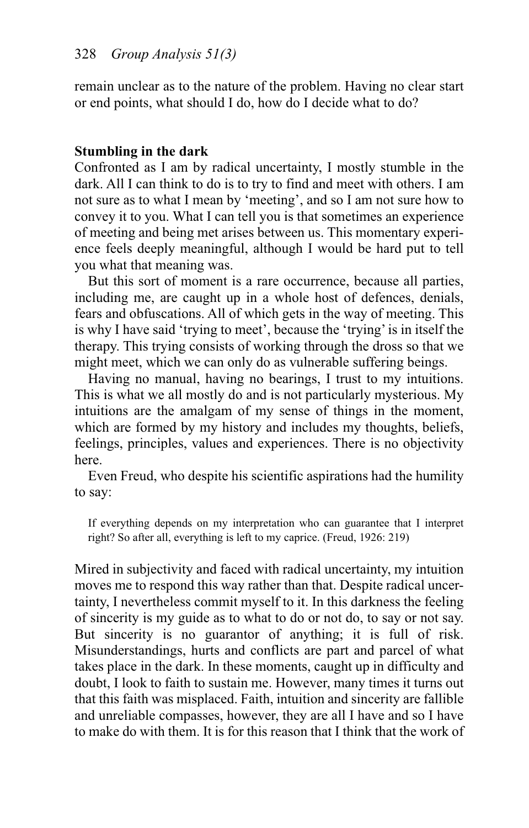remain unclear as to the nature of the problem. Having no clear start or end points, what should I do, how do I decide what to do?

#### **Stumbling in the dark**

Confronted as I am by radical uncertainty, I mostly stumble in the dark. All I can think to do is to try to find and meet with others. I am not sure as to what I mean by 'meeting', and so I am not sure how to convey it to you. What I can tell you is that sometimes an experience of meeting and being met arises between us. This momentary experience feels deeply meaningful, although I would be hard put to tell you what that meaning was.

But this sort of moment is a rare occurrence, because all parties, including me, are caught up in a whole host of defences, denials, fears and obfuscations. All of which gets in the way of meeting. This is why I have said 'trying to meet', because the 'trying' is in itself the therapy. This trying consists of working through the dross so that we might meet, which we can only do as vulnerable suffering beings.

Having no manual, having no bearings, I trust to my intuitions. This is what we all mostly do and is not particularly mysterious. My intuitions are the amalgam of my sense of things in the moment, which are formed by my history and includes my thoughts, beliefs, feelings, principles, values and experiences. There is no objectivity here.

Even Freud, who despite his scientific aspirations had the humility to say:

If everything depends on my interpretation who can guarantee that I interpret right? So after all, everything is left to my caprice. (Freud, 1926: 219)

Mired in subjectivity and faced with radical uncertainty, my intuition moves me to respond this way rather than that. Despite radical uncertainty, I nevertheless commit myself to it. In this darkness the feeling of sincerity is my guide as to what to do or not do, to say or not say. But sincerity is no guarantor of anything; it is full of risk. Misunderstandings, hurts and conflicts are part and parcel of what takes place in the dark. In these moments, caught up in difficulty and doubt, I look to faith to sustain me. However, many times it turns out that this faith was misplaced. Faith, intuition and sincerity are fallible and unreliable compasses, however, they are all I have and so I have to make do with them. It is for this reason that I think that the work of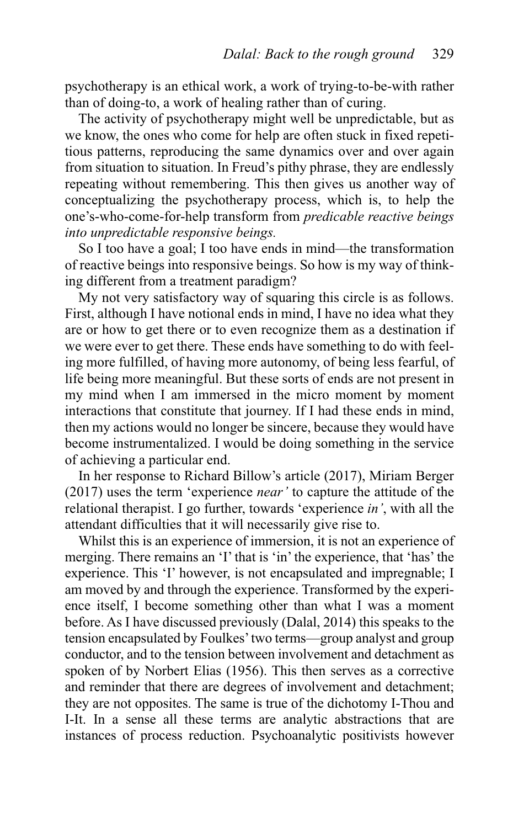psychotherapy is an ethical work, a work of trying-to-be-with rather than of doing-to, a work of healing rather than of curing.

The activity of psychotherapy might well be unpredictable, but as we know, the ones who come for help are often stuck in fixed repetitious patterns, reproducing the same dynamics over and over again from situation to situation. In Freud's pithy phrase, they are endlessly repeating without remembering. This then gives us another way of conceptualizing the psychotherapy process, which is, to help the one's-who-come-for-help transform from *predicable reactive beings into unpredictable responsive beings.*

So I too have a goal; I too have ends in mind—the transformation of reactive beings into responsive beings. So how is my way of thinking different from a treatment paradigm?

My not very satisfactory way of squaring this circle is as follows. First, although I have notional ends in mind, I have no idea what they are or how to get there or to even recognize them as a destination if we were ever to get there. These ends have something to do with feeling more fulfilled, of having more autonomy, of being less fearful, of life being more meaningful. But these sorts of ends are not present in my mind when I am immersed in the micro moment by moment interactions that constitute that journey. If I had these ends in mind, then my actions would no longer be sincere, because they would have become instrumentalized. I would be doing something in the service of achieving a particular end.

In her response to Richard Billow's article (2017), Miriam Berger (2017) uses the term 'experience *near'* to capture the attitude of the relational therapist. I go further, towards 'experience *in'*, with all the attendant difficulties that it will necessarily give rise to.

Whilst this is an experience of immersion, it is not an experience of merging. There remains an 'I' that is 'in' the experience, that 'has' the experience. This 'I' however, is not encapsulated and impregnable; I am moved by and through the experience. Transformed by the experience itself, I become something other than what I was a moment before. As I have discussed previously (Dalal, 2014) this speaks to the tension encapsulated by Foulkes' two terms—group analyst and group conductor, and to the tension between involvement and detachment as spoken of by Norbert Elias (1956). This then serves as a corrective and reminder that there are degrees of involvement and detachment; they are not opposites. The same is true of the dichotomy I-Thou and I-It. In a sense all these terms are analytic abstractions that are instances of process reduction. Psychoanalytic positivists however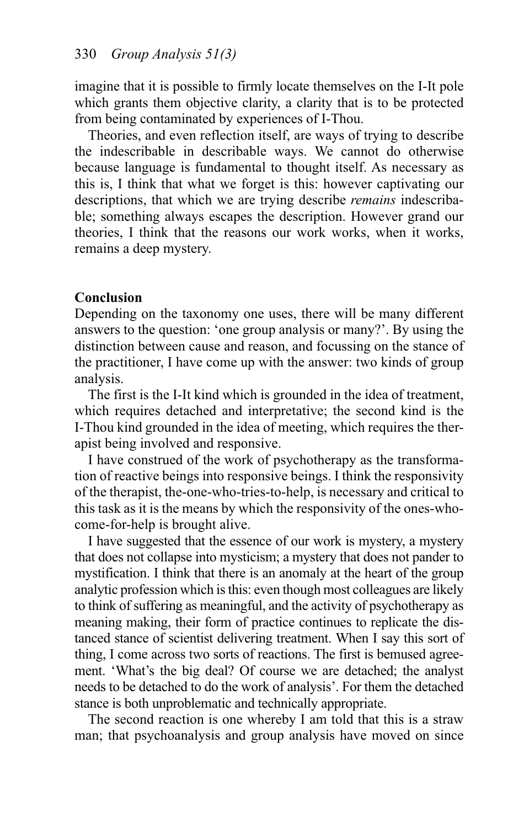imagine that it is possible to firmly locate themselves on the I-It pole which grants them objective clarity, a clarity that is to be protected from being contaminated by experiences of I-Thou.

Theories, and even reflection itself, are ways of trying to describe the indescribable in describable ways. We cannot do otherwise because language is fundamental to thought itself. As necessary as this is, I think that what we forget is this: however captivating our descriptions, that which we are trying describe *remains* indescribable; something always escapes the description. However grand our theories, I think that the reasons our work works, when it works, remains a deep mystery.

## **Conclusion**

Depending on the taxonomy one uses, there will be many different answers to the question: 'one group analysis or many?'. By using the distinction between cause and reason, and focussing on the stance of the practitioner, I have come up with the answer: two kinds of group analysis.

The first is the I-It kind which is grounded in the idea of treatment, which requires detached and interpretative; the second kind is the I-Thou kind grounded in the idea of meeting, which requires the therapist being involved and responsive.

I have construed of the work of psychotherapy as the transformation of reactive beings into responsive beings. I think the responsivity of the therapist, the-one-who-tries-to-help, is necessary and critical to this task as it is the means by which the responsivity of the ones-whocome-for-help is brought alive.

I have suggested that the essence of our work is mystery, a mystery that does not collapse into mysticism; a mystery that does not pander to mystification. I think that there is an anomaly at the heart of the group analytic profession which is this: even though most colleagues are likely to think of suffering as meaningful, and the activity of psychotherapy as meaning making, their form of practice continues to replicate the distanced stance of scientist delivering treatment. When I say this sort of thing, I come across two sorts of reactions. The first is bemused agreement. 'What's the big deal? Of course we are detached; the analyst needs to be detached to do the work of analysis'. For them the detached stance is both unproblematic and technically appropriate.

The second reaction is one whereby I am told that this is a straw man; that psychoanalysis and group analysis have moved on since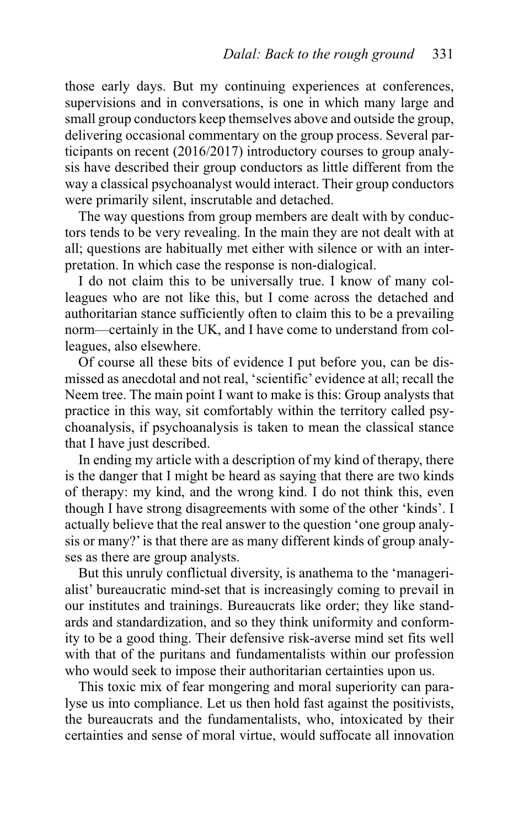those early days. But my continuing experiences at conferences, supervisions and in conversations, is one in which many large and small group conductors keep themselves above and outside the group, delivering occasional commentary on the group process. Several participants on recent (2016/2017) introductory courses to group analysis have described their group conductors as little different from the way a classical psychoanalyst would interact. Their group conductors were primarily silent, inscrutable and detached.

The way questions from group members are dealt with by conductors tends to be very revealing. In the main they are not dealt with at all; questions are habitually met either with silence or with an interpretation. In which case the response is non-dialogical.

I do not claim this to be universally true. I know of many colleagues who are not like this, but I come across the detached and authoritarian stance sufficiently often to claim this to be a prevailing norm—certainly in the UK, and I have come to understand from colleagues, also elsewhere.

Of course all these bits of evidence I put before you, can be dismissed as anecdotal and not real, 'scientific' evidence at all; recall the Neem tree. The main point I want to make is this: Group analysts that practice in this way, sit comfortably within the territory called psychoanalysis, if psychoanalysis is taken to mean the classical stance that I have just described.

In ending my article with a description of my kind of therapy, there is the danger that I might be heard as saying that there are two kinds of therapy: my kind, and the wrong kind. I do not think this, even though I have strong disagreements with some of the other 'kinds'. I actually believe that the real answer to the question 'one group analysis or many?' is that there are as many different kinds of group analyses as there are group analysts.

But this unruly conflictual diversity, is anathema to the 'managerialist' bureaucratic mind-set that is increasingly coming to prevail in our institutes and trainings. Bureaucrats like order; they like standards and standardization, and so they think uniformity and conformity to be a good thing. Their defensive risk-averse mind set fits well with that of the puritans and fundamentalists within our profession who would seek to impose their authoritarian certainties upon us.

This toxic mix of fear mongering and moral superiority can paralyse us into compliance. Let us then hold fast against the positivists, the bureaucrats and the fundamentalists, who, intoxicated by their certainties and sense of moral virtue, would suffocate all innovation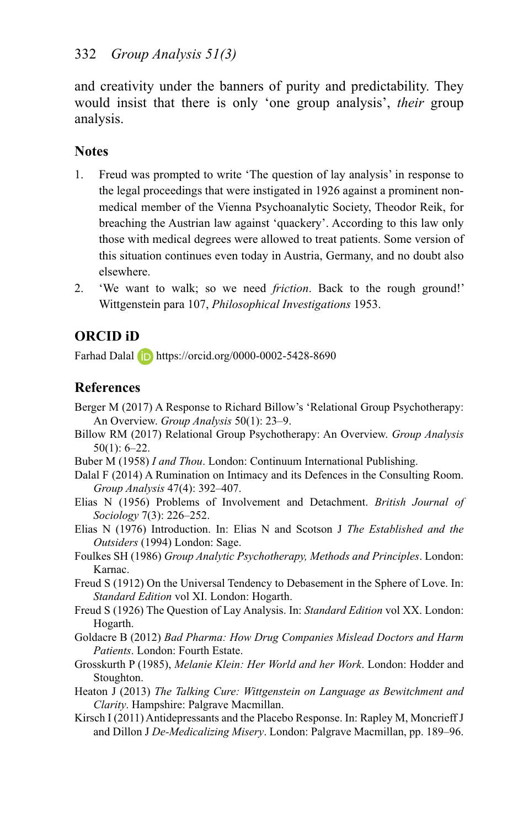and creativity under the banners of purity and predictability. They would insist that there is only 'one group analysis', *their* group analysis.

## **Notes**

- 1. Freud was prompted to write 'The question of lay analysis' in response to the legal proceedings that were instigated in 1926 against a prominent nonmedical member of the Vienna Psychoanalytic Society, Theodor Reik, for breaching the Austrian law against 'quackery'. According to this law only those with medical degrees were allowed to treat patients. Some version of this situation continues even today in Austria, Germany, and no doubt also elsewhere.
- 2. 'We want to walk; so we need *friction*. Back to the rough ground!' Wittgenstein para 107, *Philosophical Investigations* 1953.

## **ORCID iD**

Farhad Dalal **iD** <https://orcid.org/0000-0002-5428-8690>

## **References**

- Berger M (2017) A Response to Richard Billow's 'Relational Group Psychotherapy: An Overview. *Group Analysis* 50(1): 23–9.
- Billow RM (2017) Relational Group Psychotherapy: An Overview. *Group Analysis* 50(1): 6–22.
- Buber M (1958) *I and Thou*. London: Continuum International Publishing.
- Dalal F (2014) A Rumination on Intimacy and its Defences in the Consulting Room. *Group Analysis* 47(4): 392–407.
- Elias N (1956) Problems of Involvement and Detachment. *British Journal of Sociology* 7(3): 226–252.
- Elias N (1976) Introduction. In: Elias N and Scotson J *The Established and the Outsiders* (1994) London: Sage.
- Foulkes SH (1986) *Group Analytic Psychotherapy, Methods and Principles*. London: Karnac.
- Freud S (1912) On the Universal Tendency to Debasement in the Sphere of Love. In: *Standard Edition* vol XI. London: Hogarth.
- Freud S (1926) The Question of Lay Analysis. In: *Standard Edition* vol XX. London: Hogarth.
- Goldacre B (2012) *Bad Pharma: How Drug Companies Mislead Doctors and Harm Patients*. London: Fourth Estate.
- Grosskurth P (1985), *Melanie Klein: Her World and her Work*. London: Hodder and Stoughton.
- Heaton J (2013) *The Talking Cure: Wittgenstein on Language as Bewitchment and Clarity*. Hampshire: Palgrave Macmillan.
- Kirsch I (2011) Antidepressants and the Placebo Response. In: Rapley M, Moncrieff J and Dillon J *De-Medicalizing Misery*. London: Palgrave Macmillan, pp. 189–96.